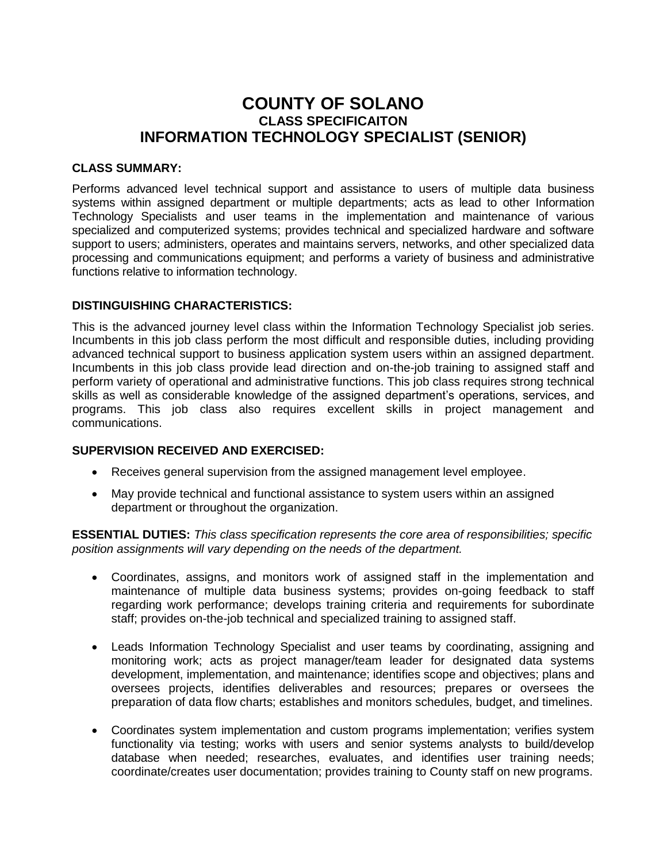# **COUNTY OF SOLANO CLASS SPECIFICAITON INFORMATION TECHNOLOGY SPECIALIST (SENIOR)**

## **CLASS SUMMARY:**

Performs advanced level technical support and assistance to users of multiple data business systems within assigned department or multiple departments; acts as lead to other Information Technology Specialists and user teams in the implementation and maintenance of various specialized and computerized systems; provides technical and specialized hardware and software support to users; administers, operates and maintains servers, networks, and other specialized data processing and communications equipment; and performs a variety of business and administrative functions relative to information technology.

## **DISTINGUISHING CHARACTERISTICS:**

This is the advanced journey level class within the Information Technology Specialist job series. Incumbents in this job class perform the most difficult and responsible duties, including providing advanced technical support to business application system users within an assigned department. Incumbents in this job class provide lead direction and on-the-job training to assigned staff and perform variety of operational and administrative functions. This job class requires strong technical skills as well as considerable knowledge of the assigned department's operations, services, and programs. This job class also requires excellent skills in project management and communications.

#### **SUPERVISION RECEIVED AND EXERCISED:**

- Receives general supervision from the assigned management level employee.
- May provide technical and functional assistance to system users within an assigned department or throughout the organization.

**ESSENTIAL DUTIES:** *This class specification represents the core area of responsibilities; specific position assignments will vary depending on the needs of the department.*

- Coordinates, assigns, and monitors work of assigned staff in the implementation and maintenance of multiple data business systems; provides on-going feedback to staff regarding work performance; develops training criteria and requirements for subordinate staff; provides on-the-job technical and specialized training to assigned staff.
- Leads Information Technology Specialist and user teams by coordinating, assigning and monitoring work; acts as project manager/team leader for designated data systems development, implementation, and maintenance; identifies scope and objectives; plans and oversees projects, identifies deliverables and resources; prepares or oversees the preparation of data flow charts; establishes and monitors schedules, budget, and timelines.
- Coordinates system implementation and custom programs implementation; verifies system functionality via testing; works with users and senior systems analysts to build/develop database when needed; researches, evaluates, and identifies user training needs; coordinate/creates user documentation; provides training to County staff on new programs.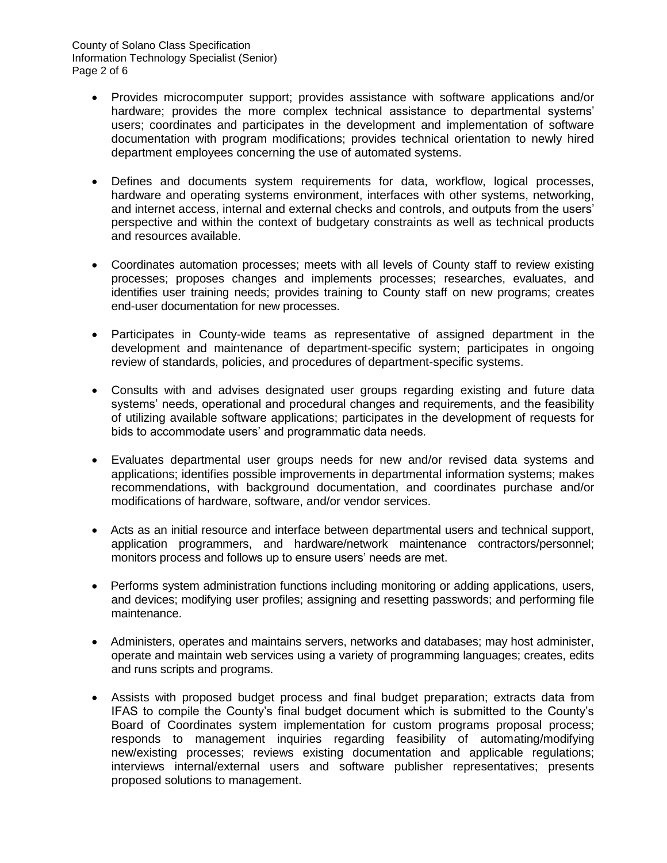- Provides microcomputer support; provides assistance with software applications and/or hardware; provides the more complex technical assistance to departmental systems' users; coordinates and participates in the development and implementation of software documentation with program modifications; provides technical orientation to newly hired department employees concerning the use of automated systems.
- Defines and documents system requirements for data, workflow, logical processes, hardware and operating systems environment, interfaces with other systems, networking, and internet access, internal and external checks and controls, and outputs from the users' perspective and within the context of budgetary constraints as well as technical products and resources available.
- Coordinates automation processes; meets with all levels of County staff to review existing processes; proposes changes and implements processes; researches, evaluates, and identifies user training needs; provides training to County staff on new programs; creates end-user documentation for new processes.
- Participates in County-wide teams as representative of assigned department in the development and maintenance of department-specific system; participates in ongoing review of standards, policies, and procedures of department-specific systems.
- Consults with and advises designated user groups regarding existing and future data systems' needs, operational and procedural changes and requirements, and the feasibility of utilizing available software applications; participates in the development of requests for bids to accommodate users' and programmatic data needs.
- Evaluates departmental user groups needs for new and/or revised data systems and applications; identifies possible improvements in departmental information systems; makes recommendations, with background documentation, and coordinates purchase and/or modifications of hardware, software, and/or vendor services.
- Acts as an initial resource and interface between departmental users and technical support, application programmers, and hardware/network maintenance contractors/personnel; monitors process and follows up to ensure users' needs are met.
- Performs system administration functions including monitoring or adding applications, users, and devices; modifying user profiles; assigning and resetting passwords; and performing file maintenance.
- Administers, operates and maintains servers, networks and databases; may host administer, operate and maintain web services using a variety of programming languages; creates, edits and runs scripts and programs.
- Assists with proposed budget process and final budget preparation; extracts data from IFAS to compile the County's final budget document which is submitted to the County's Board of Coordinates system implementation for custom programs proposal process; responds to management inquiries regarding feasibility of automating/modifying new/existing processes; reviews existing documentation and applicable regulations; interviews internal/external users and software publisher representatives; presents proposed solutions to management.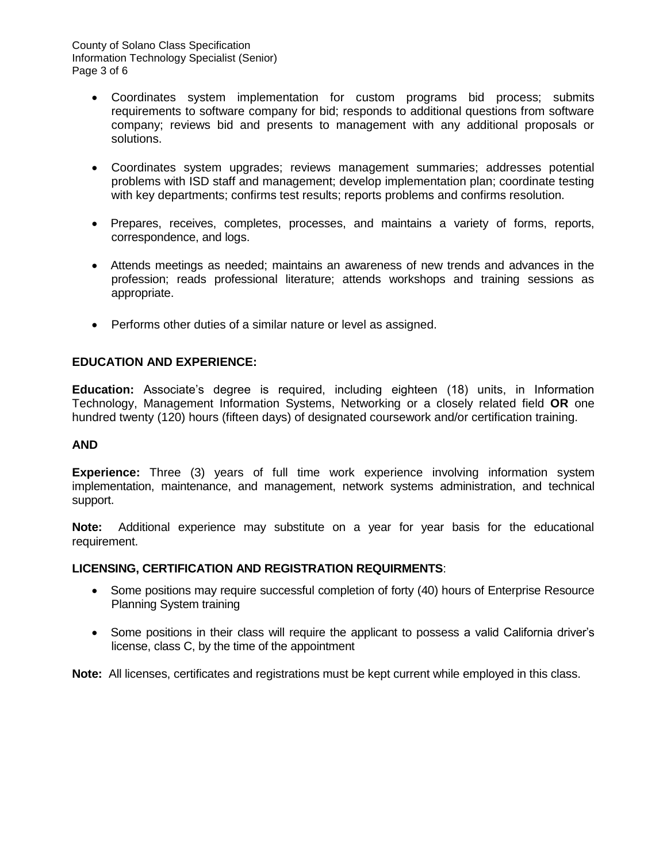- Coordinates system implementation for custom programs bid process; submits requirements to software company for bid; responds to additional questions from software company; reviews bid and presents to management with any additional proposals or solutions.
- Coordinates system upgrades; reviews management summaries; addresses potential problems with ISD staff and management; develop implementation plan; coordinate testing with key departments; confirms test results; reports problems and confirms resolution.
- Prepares, receives, completes, processes, and maintains a variety of forms, reports, correspondence, and logs.
- Attends meetings as needed; maintains an awareness of new trends and advances in the profession; reads professional literature; attends workshops and training sessions as appropriate.
- Performs other duties of a similar nature or level as assigned.

## **EDUCATION AND EXPERIENCE:**

**Education:** Associate's degree is required, including eighteen (18) units, in Information Technology, Management Information Systems, Networking or a closely related field **OR** one hundred twenty (120) hours (fifteen days) of designated coursework and/or certification training.

## **AND**

**Experience:** Three (3) years of full time work experience involving information system implementation, maintenance, and management, network systems administration, and technical support.

**Note:** Additional experience may substitute on a year for year basis for the educational requirement.

#### **LICENSING, CERTIFICATION AND REGISTRATION REQUIRMENTS**:

- Some positions may require successful completion of forty (40) hours of Enterprise Resource Planning System training
- Some positions in their class will require the applicant to possess a valid California driver's license, class C, by the time of the appointment

**Note:** All licenses, certificates and registrations must be kept current while employed in this class.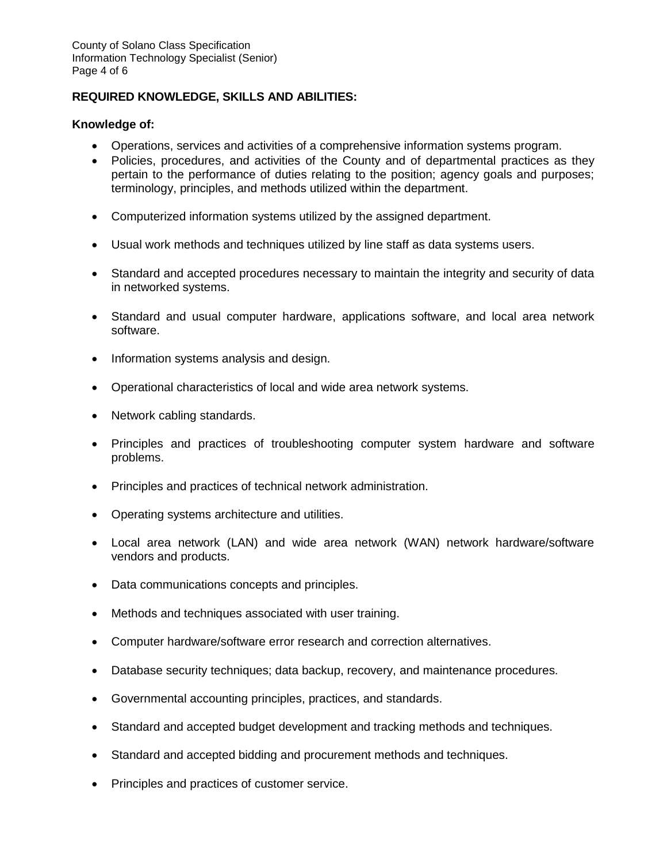## **REQUIRED KNOWLEDGE, SKILLS AND ABILITIES:**

## **Knowledge of:**

- Operations, services and activities of a comprehensive information systems program.
- Policies, procedures, and activities of the County and of departmental practices as they pertain to the performance of duties relating to the position; agency goals and purposes; terminology, principles, and methods utilized within the department.
- Computerized information systems utilized by the assigned department.
- Usual work methods and techniques utilized by line staff as data systems users.
- Standard and accepted procedures necessary to maintain the integrity and security of data in networked systems.
- Standard and usual computer hardware, applications software, and local area network software.
- Information systems analysis and design.
- Operational characteristics of local and wide area network systems.
- Network cabling standards.
- Principles and practices of troubleshooting computer system hardware and software problems.
- Principles and practices of technical network administration.
- Operating systems architecture and utilities.
- Local area network (LAN) and wide area network (WAN) network hardware/software vendors and products.
- Data communications concepts and principles.
- Methods and techniques associated with user training.
- Computer hardware/software error research and correction alternatives.
- Database security techniques; data backup, recovery, and maintenance procedures.
- Governmental accounting principles, practices, and standards.
- Standard and accepted budget development and tracking methods and techniques.
- Standard and accepted bidding and procurement methods and techniques.
- Principles and practices of customer service.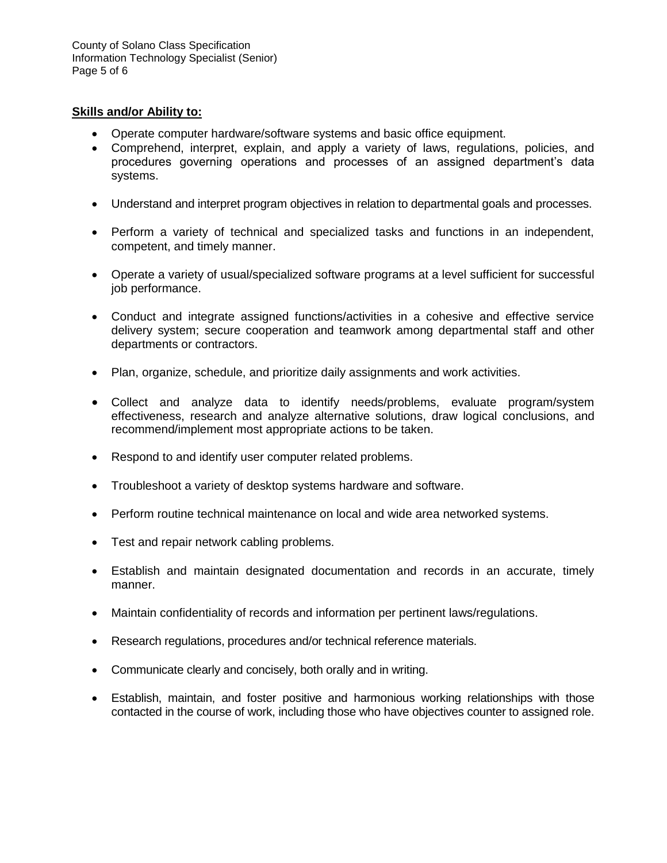#### **Skills and/or Ability to:**

- Operate computer hardware/software systems and basic office equipment.
- Comprehend, interpret, explain, and apply a variety of laws, regulations, policies, and procedures governing operations and processes of an assigned department's data systems.
- Understand and interpret program objectives in relation to departmental goals and processes.
- Perform a variety of technical and specialized tasks and functions in an independent, competent, and timely manner.
- Operate a variety of usual/specialized software programs at a level sufficient for successful job performance.
- Conduct and integrate assigned functions/activities in a cohesive and effective service delivery system; secure cooperation and teamwork among departmental staff and other departments or contractors.
- Plan, organize, schedule, and prioritize daily assignments and work activities.
- Collect and analyze data to identify needs/problems, evaluate program/system effectiveness, research and analyze alternative solutions, draw logical conclusions, and recommend/implement most appropriate actions to be taken.
- Respond to and identify user computer related problems.
- Troubleshoot a variety of desktop systems hardware and software.
- Perform routine technical maintenance on local and wide area networked systems.
- Test and repair network cabling problems.
- Establish and maintain designated documentation and records in an accurate, timely manner.
- Maintain confidentiality of records and information per pertinent laws/regulations.
- Research regulations, procedures and/or technical reference materials.
- Communicate clearly and concisely, both orally and in writing.
- Establish, maintain, and foster positive and harmonious working relationships with those contacted in the course of work, including those who have objectives counter to assigned role.